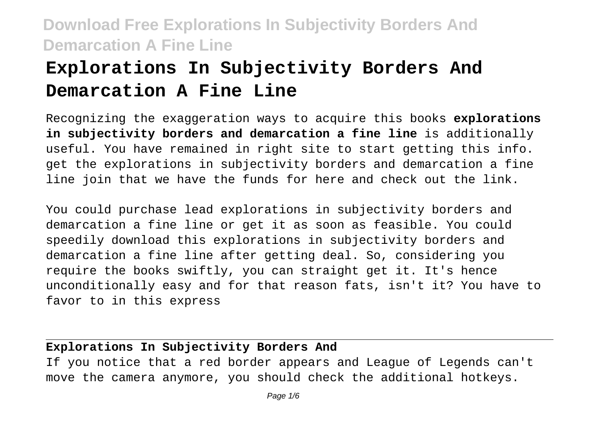# **Explorations In Subjectivity Borders And Demarcation A Fine Line**

Recognizing the exaggeration ways to acquire this books **explorations in subjectivity borders and demarcation a fine line** is additionally useful. You have remained in right site to start getting this info. get the explorations in subjectivity borders and demarcation a fine line join that we have the funds for here and check out the link.

You could purchase lead explorations in subjectivity borders and demarcation a fine line or get it as soon as feasible. You could speedily download this explorations in subjectivity borders and demarcation a fine line after getting deal. So, considering you require the books swiftly, you can straight get it. It's hence unconditionally easy and for that reason fats, isn't it? You have to favor to in this express

#### **Explorations In Subjectivity Borders And**

If you notice that a red border appears and League of Legends can't move the camera anymore, you should check the additional hotkeys.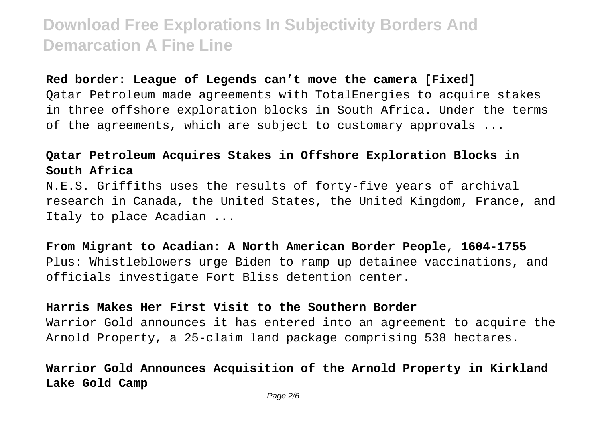#### **Red border: League of Legends can't move the camera [Fixed]**

Qatar Petroleum made agreements with TotalEnergies to acquire stakes in three offshore exploration blocks in South Africa. Under the terms of the agreements, which are subject to customary approvals ...

### **Qatar Petroleum Acquires Stakes in Offshore Exploration Blocks in South Africa**

N.E.S. Griffiths uses the results of forty-five years of archival research in Canada, the United States, the United Kingdom, France, and Italy to place Acadian ...

**From Migrant to Acadian: A North American Border People, 1604-1755** Plus: Whistleblowers urge Biden to ramp up detainee vaccinations, and officials investigate Fort Bliss detention center.

#### **Harris Makes Her First Visit to the Southern Border**

Warrior Gold announces it has entered into an agreement to acquire the Arnold Property, a 25-claim land package comprising 538 hectares.

### **Warrior Gold Announces Acquisition of the Arnold Property in Kirkland Lake Gold Camp**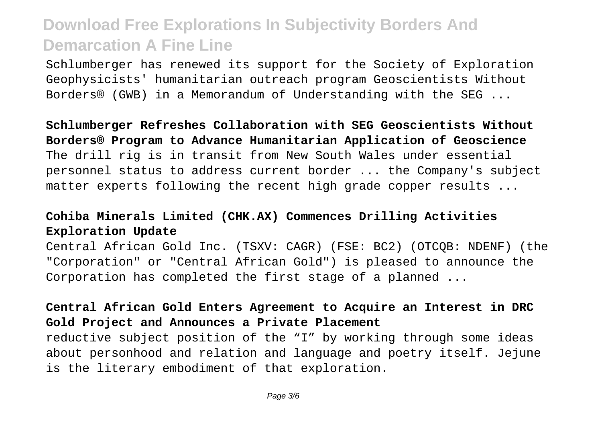Schlumberger has renewed its support for the Society of Exploration Geophysicists' humanitarian outreach program Geoscientists Without Borders® (GWB) in a Memorandum of Understanding with the SEG ...

**Schlumberger Refreshes Collaboration with SEG Geoscientists Without Borders® Program to Advance Humanitarian Application of Geoscience** The drill rig is in transit from New South Wales under essential personnel status to address current border ... the Company's subject matter experts following the recent high grade copper results ...

### **Cohiba Minerals Limited (CHK.AX) Commences Drilling Activities Exploration Update**

Central African Gold Inc. (TSXV: CAGR) (FSE: BC2) (OTCQB: NDENF) (the "Corporation" or "Central African Gold") is pleased to announce the Corporation has completed the first stage of a planned ...

### **Central African Gold Enters Agreement to Acquire an Interest in DRC Gold Project and Announces a Private Placement**

reductive subject position of the "I" by working through some ideas about personhood and relation and language and poetry itself. Jejune is the literary embodiment of that exploration.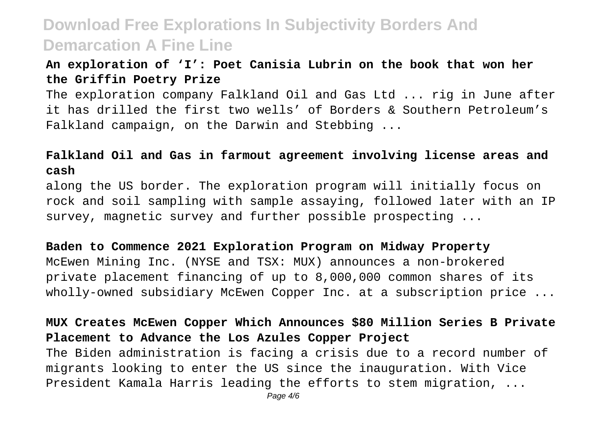### **An exploration of 'I': Poet Canisia Lubrin on the book that won her the Griffin Poetry Prize**

The exploration company Falkland Oil and Gas Ltd ... rig in June after it has drilled the first two wells' of Borders & Southern Petroleum's Falkland campaign, on the Darwin and Stebbing ...

#### **Falkland Oil and Gas in farmout agreement involving license areas and cash**

along the US border. The exploration program will initially focus on rock and soil sampling with sample assaying, followed later with an IP survey, magnetic survey and further possible prospecting ...

#### **Baden to Commence 2021 Exploration Program on Midway Property**

McEwen Mining Inc. (NYSE and TSX: MUX) announces a non-brokered private placement financing of up to 8,000,000 common shares of its wholly-owned subsidiary McEwen Copper Inc. at a subscription price ...

**MUX Creates McEwen Copper Which Announces \$80 Million Series B Private Placement to Advance the Los Azules Copper Project** The Biden administration is facing a crisis due to a record number of migrants looking to enter the US since the inauguration. With Vice President Kamala Harris leading the efforts to stem migration, ...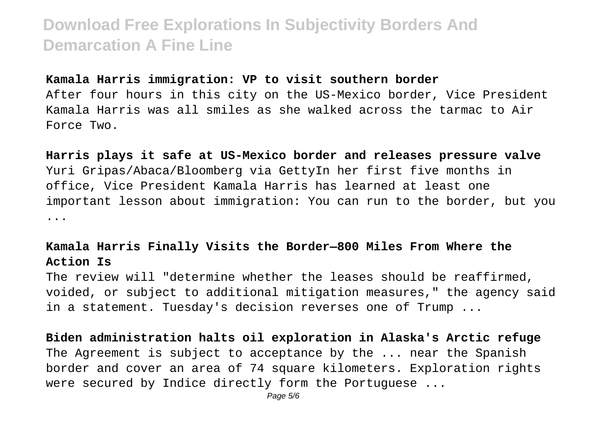#### **Kamala Harris immigration: VP to visit southern border**

After four hours in this city on the US-Mexico border, Vice President Kamala Harris was all smiles as she walked across the tarmac to Air Force Two.

**Harris plays it safe at US-Mexico border and releases pressure valve** Yuri Gripas/Abaca/Bloomberg via GettyIn her first five months in office, Vice President Kamala Harris has learned at least one important lesson about immigration: You can run to the border, but you ...

#### **Kamala Harris Finally Visits the Border—800 Miles From Where the Action Is**

The review will "determine whether the leases should be reaffirmed, voided, or subject to additional mitigation measures," the agency said in a statement. Tuesday's decision reverses one of Trump ...

**Biden administration halts oil exploration in Alaska's Arctic refuge** The Agreement is subject to acceptance by the ... near the Spanish border and cover an area of 74 square kilometers. Exploration rights were secured by Indice directly form the Portuguese ...